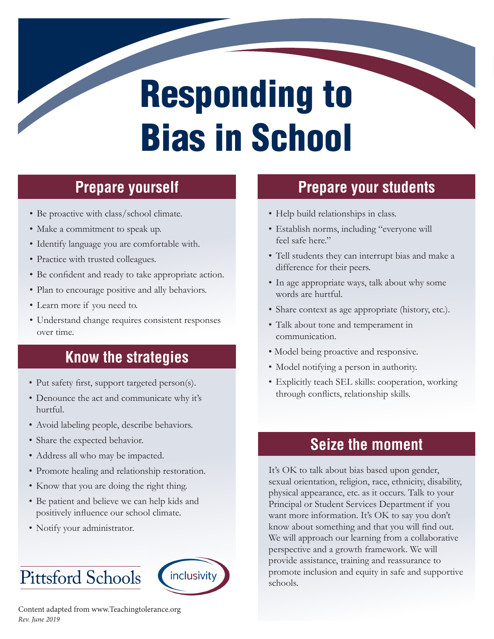# Responding to Bias in School

# **Prepare yourself Prepare yourself**

- Be proactive with class/school climate.
- Make a commitment to speak up.
- Identify language you are comfortable with.
- Practice with trusted colleagues.
- Be confident and ready to take appropriate action.
- Plan to encourage positive and ally behaviors.
- Learn more if you need to.
- Understand change requires consistent responses over time.

### **Know the strategies**

- Put safety first, support targeted person(s).
- Denounce the act and communicate why it's hurtful.
- Avoid labeling people, describe behaviors.
- Share the expected behavior.
- Address all who may be impacted.
- Promote healing and relationship restoration.
- Know that you are doing the right thing.
- Be patient and believe we can help kids and positively influence our school climate.
- Notify your administrator.

### Pittsford Schools



Content adapted from www.Teachingtolerance.org *Rev. June 2019*

### **Prepare your students**

- Help build relationships in class.
- Establish norms, including "everyone will feel safe here."
- Tell students they can interrupt bias and make a difference for their peers.
- In age appropriate ways, talk about why some words are hurtful.
- Share context as age appropriate (history, etc.).
- Talk about tone and temperament in communication.
- Model being proactive and responsive.
- Model notifying a person in authority.
- Explicitly teach SEL skills: cooperation, working through conflicts, relationship skills.

#### **Seize the moment**

It's OK to talk about bias based upon gender, sexual orientation, religion, race, ethnicity, disability, physical appearance, etc. as it occurs. Talk to your Principal or Student Services Department if you want more information. It's OK to say you don't know about something and that you will find out. We will approach our learning from a collaborative perspective and a growth framework. We will provide assistance, training and reassurance to promote inclusion and equity in safe and supportive schools.